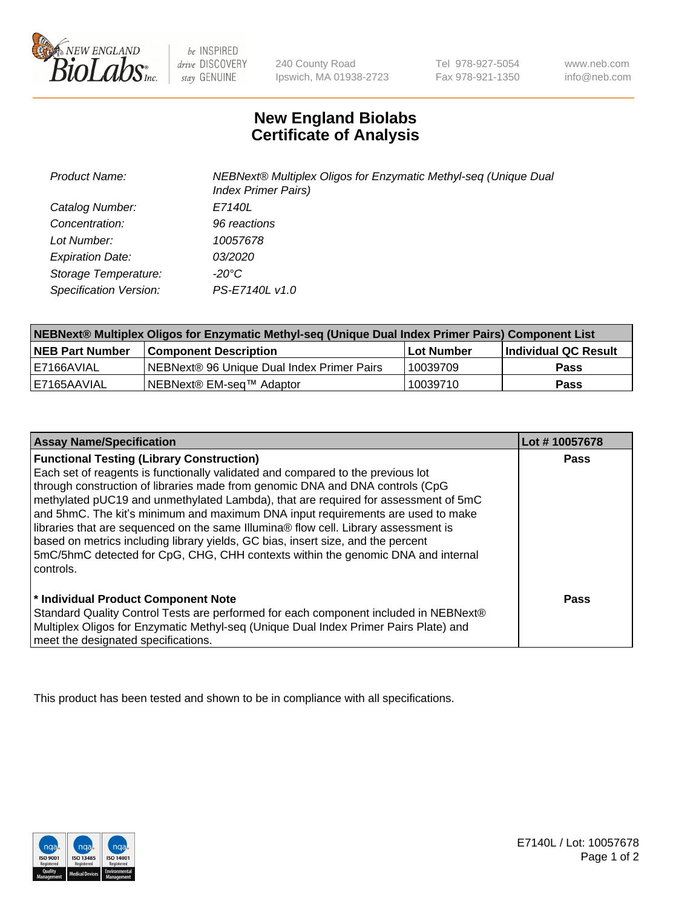

 $be$  INSPIRED drive DISCOVERY stay GENUINE

240 County Road Ipswich, MA 01938-2723

Tel 978-927-5054 Fax 978-921-1350 www.neb.com info@neb.com

## **New England Biolabs Certificate of Analysis**

| <b>Product Name:</b>    | NEBNext® Multiplex Oligos for Enzymatic Methyl-seq (Unique Dual<br><b>Index Primer Pairs)</b> |
|-------------------------|-----------------------------------------------------------------------------------------------|
| Catalog Number:         | E7140L                                                                                        |
| Concentration:          | 96 reactions                                                                                  |
| Lot Number:             | 10057678                                                                                      |
| <b>Expiration Date:</b> | <i>03/2020</i>                                                                                |
| Storage Temperature:    | -20°C                                                                                         |
| Specification Version:  | PS-E7140L v1.0                                                                                |

| NEBNext® Multiplex Oligos for Enzymatic Methyl-seq (Unique Dual Index Primer Pairs) Component List |                                                   |            |                      |  |
|----------------------------------------------------------------------------------------------------|---------------------------------------------------|------------|----------------------|--|
| <b>NEB Part Number</b>                                                                             | <b>Component Description</b>                      | Lot Number | Individual QC Result |  |
| I E7166AVIAL                                                                                       | <b>NEBNext® 96 Unique Dual Index Primer Pairs</b> | 10039709   | Pass                 |  |
| I E7165AAVIAL                                                                                      | NEBNext® EM-seq™ Adaptor                          | 10039710   | <b>Pass</b>          |  |

| <b>Assay Name/Specification</b>                                                      | Lot #10057678 |
|--------------------------------------------------------------------------------------|---------------|
| <b>Functional Testing (Library Construction)</b>                                     | <b>Pass</b>   |
| Each set of reagents is functionally validated and compared to the previous lot      |               |
| through construction of libraries made from genomic DNA and DNA controls (CpG        |               |
| methylated pUC19 and unmethylated Lambda), that are required for assessment of 5mC   |               |
| and 5hmC. The kit's minimum and maximum DNA input requirements are used to make      |               |
| libraries that are sequenced on the same Illumina® flow cell. Library assessment is  |               |
| based on metrics including library yields, GC bias, insert size, and the percent     |               |
| 5mC/5hmC detected for CpG, CHG, CHH contexts within the genomic DNA and internal     |               |
| controls.                                                                            |               |
|                                                                                      |               |
| * Individual Product Component Note                                                  | Pass          |
| Standard Quality Control Tests are performed for each component included in NEBNext® |               |
| Multiplex Oligos for Enzymatic Methyl-seq (Unique Dual Index Primer Pairs Plate) and |               |
| meet the designated specifications.                                                  |               |

This product has been tested and shown to be in compliance with all specifications.